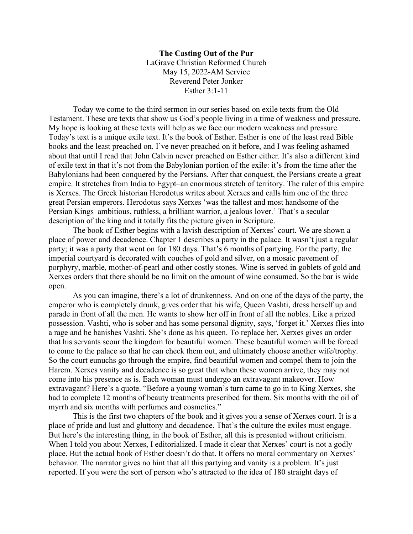## **The Casting Out of the Pur** LaGrave Christian Reformed Church May 15, 2022-AM Service Reverend Peter Jonker Esther 3:1-11

Today we come to the third sermon in our series based on exile texts from the Old Testament. These are texts that show us God's people living in a time of weakness and pressure. My hope is looking at these texts will help as we face our modern weakness and pressure. Today's text is a unique exile text. It's the book of Esther. Esther is one of the least read Bible books and the least preached on. I've never preached on it before, and I was feeling ashamed about that until I read that John Calvin never preached on Esther either. It's also a different kind of exile text in that it's not from the Babylonian portion of the exile: it's from the time after the Babylonians had been conquered by the Persians. After that conquest, the Persians create a great empire. It stretches from India to Egypt–an enormous stretch of territory. The ruler of this empire is Xerxes. The Greek historian Herodotus writes about Xerxes and calls him one of the three great Persian emperors. Herodotus says Xerxes 'was the tallest and most handsome of the Persian Kings–ambitious, ruthless, a brilliant warrior, a jealous lover.' That's a secular description of the king and it totally fits the picture given in Scripture.

The book of Esther begins with a lavish description of Xerxes' court. We are shown a place of power and decadence. Chapter 1 describes a party in the palace. It wasn't just a regular party; it was a party that went on for 180 days. That's 6 months of partying. For the party, the imperial courtyard is decorated with couches of gold and silver, on a mosaic pavement of porphyry, marble, mother-of-pearl and other costly stones. Wine is served in goblets of gold and Xerxes orders that there should be no limit on the amount of wine consumed. So the bar is wide open.

As you can imagine, there's a lot of drunkenness. And on one of the days of the party, the emperor who is completely drunk, gives order that his wife, Queen Vashti, dress herself up and parade in front of all the men. He wants to show her off in front of all the nobles. Like a prized possession. Vashti, who is sober and has some personal dignity, says, 'forget it.' Xerxes flies into a rage and he banishes Vashti. She's done as his queen. To replace her, Xerxes gives an order that his servants scour the kingdom for beautiful women. These beautiful women will be forced to come to the palace so that he can check them out, and ultimately choose another wife/trophy. So the court eunuchs go through the empire, find beautiful women and compel them to join the Harem. Xerxes vanity and decadence is so great that when these women arrive, they may not come into his presence as is. Each woman must undergo an extravagant makeover. How extravagant? Here's a quote. "Before a young woman's turn came to go in to King Xerxes, she had to complete 12 months of beauty treatments prescribed for them. Six months with the oil of myrrh and six months with perfumes and cosmetics."

This is the first two chapters of the book and it gives you a sense of Xerxes court. It is a place of pride and lust and gluttony and decadence. That's the culture the exiles must engage. But here's the interesting thing, in the book of Esther, all this is presented without criticism. When I told you about Xerxes, I editorialized. I made it clear that Xerxes' court is not a godly place. But the actual book of Esther doesn't do that. It offers no moral commentary on Xerxes' behavior. The narrator gives no hint that all this partying and vanity is a problem. It's just reported. If you were the sort of person who's attracted to the idea of 180 straight days of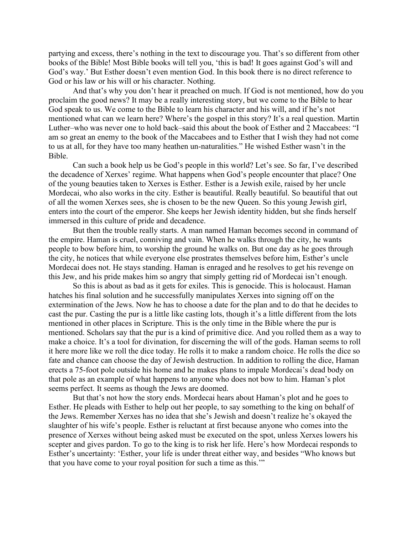partying and excess, there's nothing in the text to discourage you. That's so different from other books of the Bible! Most Bible books will tell you, 'this is bad! It goes against God's will and God's way.' But Esther doesn't even mention God. In this book there is no direct reference to God or his law or his will or his character. Nothing.

And that's why you don't hear it preached on much. If God is not mentioned, how do you proclaim the good news? It may be a really interesting story, but we come to the Bible to hear God speak to us. We come to the Bible to learn his character and his will, and if he's not mentioned what can we learn here? Where's the gospel in this story? It's a real question. Martin Luther–who was never one to hold back–said this about the book of Esther and 2 Maccabees: "I am so great an enemy to the book of the Maccabees and to Esther that I wish they had not come to us at all, for they have too many heathen un-naturalities." He wished Esther wasn't in the Bible.

Can such a book help us be God's people in this world? Let's see. So far, I've described the decadence of Xerxes' regime. What happens when God's people encounter that place? One of the young beauties taken to Xerxes is Esther. Esther is a Jewish exile, raised by her uncle Mordecai, who also works in the city. Esther is beautiful. Really beautiful. So beautiful that out of all the women Xerxes sees, she is chosen to be the new Queen. So this young Jewish girl, enters into the court of the emperor. She keeps her Jewish identity hidden, but she finds herself immersed in this culture of pride and decadence.

But then the trouble really starts. A man named Haman becomes second in command of the empire. Haman is cruel, conniving and vain. When he walks through the city, he wants people to bow before him, to worship the ground he walks on. But one day as he goes through the city, he notices that while everyone else prostrates themselves before him, Esther's uncle Mordecai does not. He stays standing. Haman is enraged and he resolves to get his revenge on this Jew, and his pride makes him so angry that simply getting rid of Mordecai isn't enough.

So this is about as bad as it gets for exiles. This is genocide. This is holocaust. Haman hatches his final solution and he successfully manipulates Xerxes into signing off on the extermination of the Jews. Now he has to choose a date for the plan and to do that he decides to cast the pur. Casting the pur is a little like casting lots, though it's a little different from the lots mentioned in other places in Scripture. This is the only time in the Bible where the pur is mentioned. Scholars say that the pur is a kind of primitive dice. And you rolled them as a way to make a choice. It's a tool for divination, for discerning the will of the gods. Haman seems to roll it here more like we roll the dice today. He rolls it to make a random choice. He rolls the dice so fate and chance can choose the day of Jewish destruction. In addition to rolling the dice, Haman erects a 75-foot pole outside his home and he makes plans to impale Mordecai's dead body on that pole as an example of what happens to anyone who does not bow to him. Haman's plot seems perfect. It seems as though the Jews are doomed.

But that's not how the story ends. Mordecai hears about Haman's plot and he goes to Esther. He pleads with Esther to help out her people, to say something to the king on behalf of the Jews. Remember Xerxes has no idea that she's Jewish and doesn't realize he's okayed the slaughter of his wife's people. Esther is reluctant at first because anyone who comes into the presence of Xerxes without being asked must be executed on the spot, unless Xerxes lowers his scepter and gives pardon. To go to the king is to risk her life. Here's how Mordecai responds to Esther's uncertainty: 'Esther, your life is under threat either way, and besides "Who knows but that you have come to your royal position for such a time as this.'"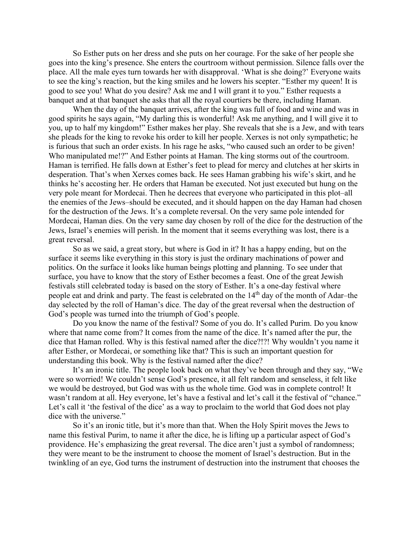So Esther puts on her dress and she puts on her courage. For the sake of her people she goes into the king's presence. She enters the courtroom without permission. Silence falls over the place. All the male eyes turn towards her with disapproval. 'What is she doing?' Everyone waits to see the king's reaction, but the king smiles and he lowers his scepter. "Esther my queen! It is good to see you! What do you desire? Ask me and I will grant it to you." Esther requests a banquet and at that banquet she asks that all the royal courtiers be there, including Haman.

When the day of the banquet arrives, after the king was full of food and wine and was in good spirits he says again, "My darling this is wonderful! Ask me anything, and I will give it to you, up to half my kingdom!" Esther makes her play. She reveals that she is a Jew, and with tears she pleads for the king to revoke his order to kill her people. Xerxes is not only sympathetic; he is furious that such an order exists. In his rage he asks, "who caused such an order to be given! Who manipulated me!?" And Esther points at Haman. The king storms out of the courtroom. Haman is terrified. He falls down at Esther's feet to plead for mercy and clutches at her skirts in desperation. That's when Xerxes comes back. He sees Haman grabbing his wife's skirt, and he thinks he's accosting her. He orders that Haman be executed. Not just executed but hung on the very pole meant for Mordecai. Then he decrees that everyone who participated in this plot–all the enemies of the Jews–should be executed, and it should happen on the day Haman had chosen for the destruction of the Jews. It's a complete reversal. On the very same pole intended for Mordecai, Haman dies. On the very same day chosen by roll of the dice for the destruction of the Jews, Israel's enemies will perish. In the moment that it seems everything was lost, there is a great reversal.

So as we said, a great story, but where is God in it? It has a happy ending, but on the surface it seems like everything in this story is just the ordinary machinations of power and politics. On the surface it looks like human beings plotting and planning. To see under that surface, you have to know that the story of Esther becomes a feast. One of the great Jewish festivals still celebrated today is based on the story of Esther. It's a one-day festival where people eat and drink and party. The feast is celebrated on the 14<sup>th</sup> day of the month of Adar–the day selected by the roll of Haman's dice. The day of the great reversal when the destruction of God's people was turned into the triumph of God's people.

Do you know the name of the festival? Some of you do. It's called Purim. Do you know where that name come from? It comes from the name of the dice. It's named after the pur, the dice that Haman rolled. Why is this festival named after the dice?!?! Why wouldn't you name it after Esther, or Mordecai, or something like that? This is such an important question for understanding this book. Why is the festival named after the dice?

It's an ironic title. The people look back on what they've been through and they say, "We were so worried! We couldn't sense God's presence, it all felt random and senseless, it felt like we would be destroyed, but God was with us the whole time. God was in complete control! It wasn't random at all. Hey everyone, let's have a festival and let's call it the festival of "chance." Let's call it 'the festival of the dice' as a way to proclaim to the world that God does not play dice with the universe."

So it's an ironic title, but it's more than that. When the Holy Spirit moves the Jews to name this festival Purim, to name it after the dice, he is lifting up a particular aspect of God's providence. He's emphasizing the great reversal. The dice aren't just a symbol of randomness; they were meant to be the instrument to choose the moment of Israel's destruction. But in the twinkling of an eye, God turns the instrument of destruction into the instrument that chooses the